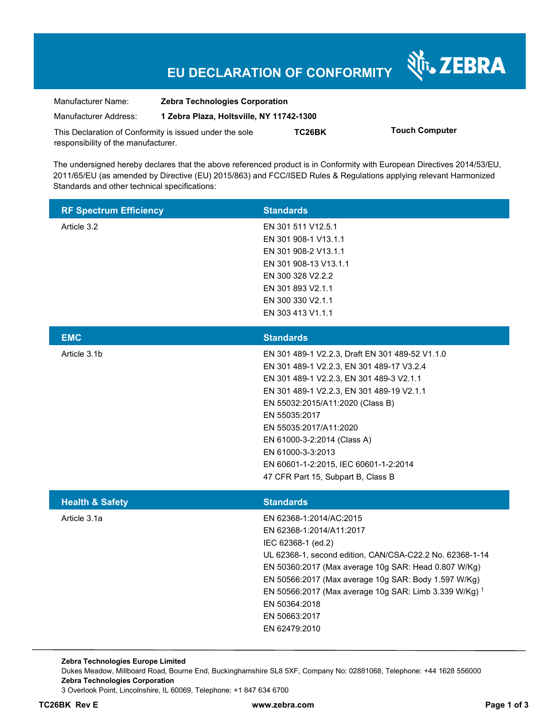# **EU DECLARATION OF CONFORMITY**

Nr. ZEBRA

| Manufacturer Name:                                      | <b>Zebra Technologies Corporation</b>    |        |                       |  |
|---------------------------------------------------------|------------------------------------------|--------|-----------------------|--|
| Manufacturer Address:                                   | 1 Zebra Plaza, Holtsville, NY 11742-1300 |        |                       |  |
| This Declaration of Conformity is issued under the sole |                                          | TC26BK | <b>Touch Computer</b> |  |
| responsibility of the manufacturer.                     |                                          |        |                       |  |

The undersigned hereby declares that the above referenced product is in Conformity with European Directives 2014/53/EU, 2011/65/EU (as amended by Directive (EU) 2015/863) and FCC/ISED Rules & Regulations applying relevant Harmonized Standards and other technical specifications:

| <b>RF Spectrum Efficiency</b> | <b>Standards</b>                                                                                                                                                                                                                                                                                                                                                                                        |
|-------------------------------|---------------------------------------------------------------------------------------------------------------------------------------------------------------------------------------------------------------------------------------------------------------------------------------------------------------------------------------------------------------------------------------------------------|
| Article 3.2                   | EN 301 511 V12.5.1<br>EN 301 908-1 V13.1.1<br>EN 301 908-2 V13.1.1<br>EN 301 908-13 V13.1.1<br>EN 300 328 V2.2.2<br>EN 301 893 V2.1.1<br>EN 300 330 V2.1.1<br>EN 303 413 V1.1.1                                                                                                                                                                                                                         |
| <b>EMC</b>                    | <b>Standards</b>                                                                                                                                                                                                                                                                                                                                                                                        |
| Article 3.1b                  | EN 301 489-1 V2.2.3, Draft EN 301 489-52 V1.1.0<br>EN 301 489-1 V2.2.3, EN 301 489-17 V3.2.4<br>EN 301 489-1 V2.2.3, EN 301 489-3 V2.1.1<br>EN 301 489-1 V2.2.3, EN 301 489-19 V2.1.1<br>EN 55032:2015/A11:2020 (Class B)<br>EN 55035:2017<br>EN 55035:2017/A11:2020<br>EN 61000-3-2:2014 (Class A)<br>EN 61000-3-3:2013<br>EN 60601-1-2:2015, IEC 60601-1-2:2014<br>47 CFR Part 15, Subpart B, Class B |
| <b>Health &amp; Safety</b>    | <b>Standards</b>                                                                                                                                                                                                                                                                                                                                                                                        |
| Article 3.1a                  | EN 62368-1:2014/AC:2015<br>EN 62368-1:2014/A11:2017<br>IEC 62368-1 (ed.2)<br>UL 62368-1, second edition, CAN/CSA-C22.2 No. 62368-1-14<br>EN 50360:2017 (Max average 10g SAR: Head 0.807 W/Kg)<br>EN 50566:2017 (Max average 10g SAR: Body 1.597 W/Kg)<br>EN 50566:2017 (Max average 10g SAR: Limb 3.339 W/Kg) 1<br>EN 50364:2018<br>EN 50663:2017<br>EN 62479:2010                                      |

**Zebra Technologies Europe Limited**  Dukes Meadow, Millboard Road, Bourne End, Buckinghamshire SL8 5XF, Company No: 02881068, Telephone: +44 1628 556000 **Zebra Technologies Corporation**  3 Overlook Point, Lincolnshire, IL 60069, Telephone: +1 847 634 6700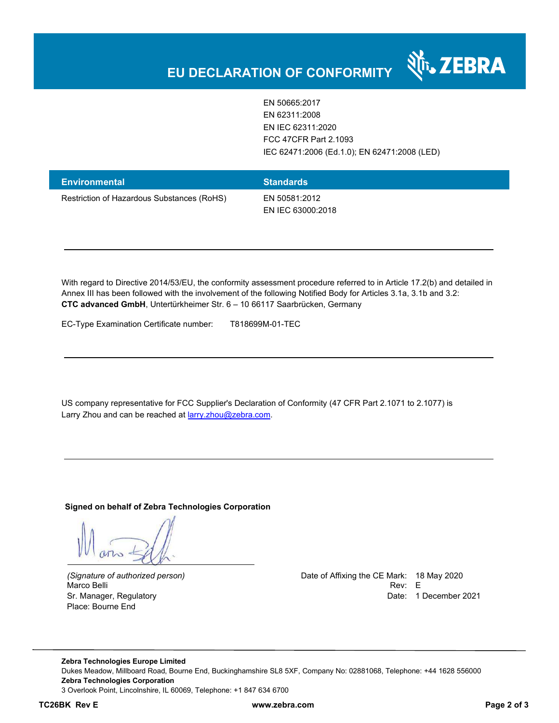EN 50665:2017 EN 62311:2008 EN IEC 62311:2020 FCC 47CFR Part 2.1093 IEC 62471:2006 (Ed.1.0); EN 62471:2008 (LED)

र्शे<sub>ं</sub> ZEBRA

| Environmental                              | <b>Standards</b>                   |
|--------------------------------------------|------------------------------------|
| Restriction of Hazardous Substances (RoHS) | EN 50581:2012<br>EN IEC 63000:2018 |

With regard to Directive 2014/53/EU, the conformity assessment procedure referred to in Article 17.2(b) and detailed in Annex III has been followed with the involvement of the following Notified Body for Articles 3.1a, 3.1b and 3.2: **CTC advanced GmbH**, Untertürkheimer Str. 6 – 10 66117 Saarbrücken, Germany

EC-Type Examination Certificate number: T818699M-01-TEC

US company representative for FCC Supplier's Declaration of Conformity (47 CFR Part 2.1071 to 2.1077) is Larry Zhou and can be reached at **larry.zhou@zebra.com.** 

**Signed on behalf of Zebra Technologies Corporation** 

Place: Bourne End

*(Signature of authorized person)* Date of Affixing the CE Mark: 18 May 2020 Marco Belli Rev: E Sr. Manager, Regulatory **Date: 1 December 2021** 

**Zebra Technologies Europe Limited**  Dukes Meadow, Millboard Road, Bourne End, Buckinghamshire SL8 5XF, Company No: 02881068, Telephone: +44 1628 556000 **Zebra Technologies Corporation**  3 Overlook Point, Lincolnshire, IL 60069, Telephone: +1 847 634 6700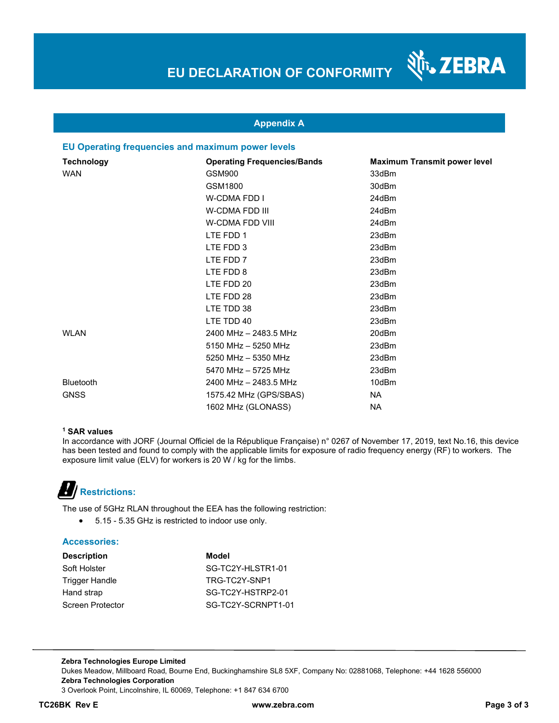N<sub>T</sub>, ZEBRA

### **Appendix A**

### **EU Operating frequencies and maximum power levels**

| <b>Technology</b> | <b>Operating Frequencies/Bands</b> | <b>Maximum Transmit power level</b> |
|-------------------|------------------------------------|-------------------------------------|
| <b>WAN</b>        | GSM900                             | 33dBm                               |
|                   | GSM1800                            | 30dBm                               |
|                   | <b>W-CDMA FDD I</b>                | 24dBm                               |
|                   | <b>W-CDMA FDD III</b>              | 24dBm                               |
|                   | W-CDMA FDD VIII                    | 24dBm                               |
|                   | LTE FDD 1                          | 23dBm                               |
|                   | LTE FDD 3                          | 23dBm                               |
|                   | LTE FDD 7                          | 23dBm                               |
|                   | LTE FDD 8                          | 23dBm                               |
|                   | LTE FDD 20                         | 23dBm                               |
|                   | LTE FDD 28                         | 23dBm                               |
|                   | LTE TDD 38                         | 23dBm                               |
|                   | LTE TDD 40                         | 23dBm                               |
| <b>WLAN</b>       | 2400 MHz - 2483.5 MHz              | 20dBm                               |
|                   | 5150 MHz - 5250 MHz                | 23dBm                               |
|                   | 5250 MHz - 5350 MHz                | 23dBm                               |
|                   | 5470 MHz - 5725 MHz                | 23dBm                               |
| <b>Bluetooth</b>  | 2400 MHz - 2483.5 MHz              | 10dBm                               |
| <b>GNSS</b>       | 1575.42 MHz (GPS/SBAS)             | NA                                  |
|                   | 1602 MHz (GLONASS)                 | NA                                  |

#### **1 SAR values**

In accordance with JORF (Journal Officiel de la République Française) n° 0267 of November 17, 2019, text No.16, this device has been tested and found to comply with the applicable limits for exposure of radio frequency energy (RF) to workers. The exposure limit value (ELV) for workers is 20 W / kg for the limbs.

# **Restrictions:**

The use of 5GHz RLAN throughout the EEA has the following restriction:

5.15 - 5.35 GHz is restricted to indoor use only.

#### **Accessories:**

| <b>Description</b> | Model              |
|--------------------|--------------------|
| Soft Holster       | SG-TC2Y-HLSTR1-01  |
| Trigger Handle     | TRG-TC2Y-SNP1      |
| Hand strap         | SG-TC2Y-HSTRP2-01  |
| Screen Protector   | SG-TC2Y-SCRNPT1-01 |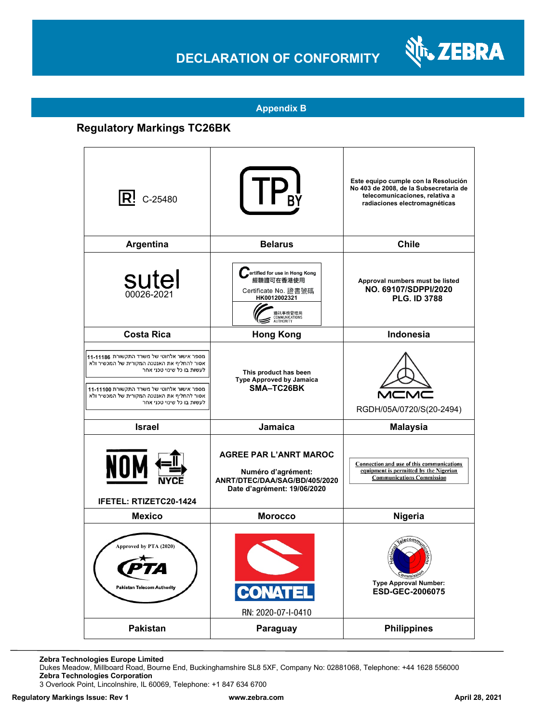## **DECLARATION OF CONFORMITY**



**Appendix B**

### **Regulatory Markings TC26BK**

| IR!<br>C-25480                                                                                                                                                                                                                                     | <b>TF</b>                                                                                                                           | Este equipo cumple con la Resolución<br>No 403 de 2008, de la Subsecretaria de<br>telecomunicaciones, relativa a<br>radiaciones electromagnéticas |
|----------------------------------------------------------------------------------------------------------------------------------------------------------------------------------------------------------------------------------------------------|-------------------------------------------------------------------------------------------------------------------------------------|---------------------------------------------------------------------------------------------------------------------------------------------------|
| Argentina                                                                                                                                                                                                                                          | <b>Belarus</b>                                                                                                                      | <b>Chile</b>                                                                                                                                      |
| sutel<br>00026-2021                                                                                                                                                                                                                                | ertified for use in Hong Kong<br>經驗證可在香港使用<br>Certificate No. 證書號碼<br>HK0012002321<br>通訊事務管理局<br>COMMUNICATIONS<br><b>AUTHORITY</b> | Approval numbers must be listed<br>NO. 69107/SDPPI/2020<br><b>PLG. ID 3788</b>                                                                    |
| <b>Costa Rica</b>                                                                                                                                                                                                                                  | <b>Hong Kong</b>                                                                                                                    | Indonesia                                                                                                                                         |
| מספר אישור אלחוטי של משרד התקשורת 11-11186<br>אסור להחליף את האנטנה המקורית של המכשיר ולא<br>לעשות בו כל שינוי טכני אחר<br>מספר אישור אלחוטי של משרד התקשורת 11-11100<br>אסור להחליף את האנטנה המקורית של המכשיר ולא<br>לעשות בו כל שינוי טכני אחר | This product has been<br>Type Approved by Jamaica<br>SMA–TC26BK                                                                     | RGDH/05A/0720/S(20-2494)                                                                                                                          |
| <b>Israel</b>                                                                                                                                                                                                                                      | Jamaica                                                                                                                             | <b>Malaysia</b>                                                                                                                                   |
| <b>NOM</b><br><b>IFETEL: RTIZETC20-1424</b>                                                                                                                                                                                                        | <b>AGREE PAR L'ANRT MAROC</b><br>Numéro d'agrément:<br>ANRT/DTEC/DAA/SAG/BD/405/2020<br>Date d'agrément: 19/06/2020                 | Connection and use of this communications<br>equipment is permitted by the Nigerian<br><b>Communications Commission</b>                           |
| <b>Mexico</b>                                                                                                                                                                                                                                      | <b>Morocco</b>                                                                                                                      | Nigeria                                                                                                                                           |
| Approved by PTA (2020)<br><b>Pakistan Telecom Authority</b>                                                                                                                                                                                        | <b>CONATEL</b><br>RN: 2020-07-I-0410                                                                                                | Commiss <sup>1</sup><br><b>Type Approval Number:</b><br>ESD-GEC-2006075                                                                           |
| <b>Pakistan</b>                                                                                                                                                                                                                                    | Paraguay                                                                                                                            | <b>Philippines</b>                                                                                                                                |

**Zebra Technologies Europe Limited**

Dukes Meadow, Millboard Road, Bourne End, Buckinghamshire SL8 5XF, Company No: 02881068, Telephone: +44 1628 556000 **Zebra Technologies Corporation** 

3 Overlook Point, Lincolnshire, IL 60069, Telephone: +1 847 634 6700